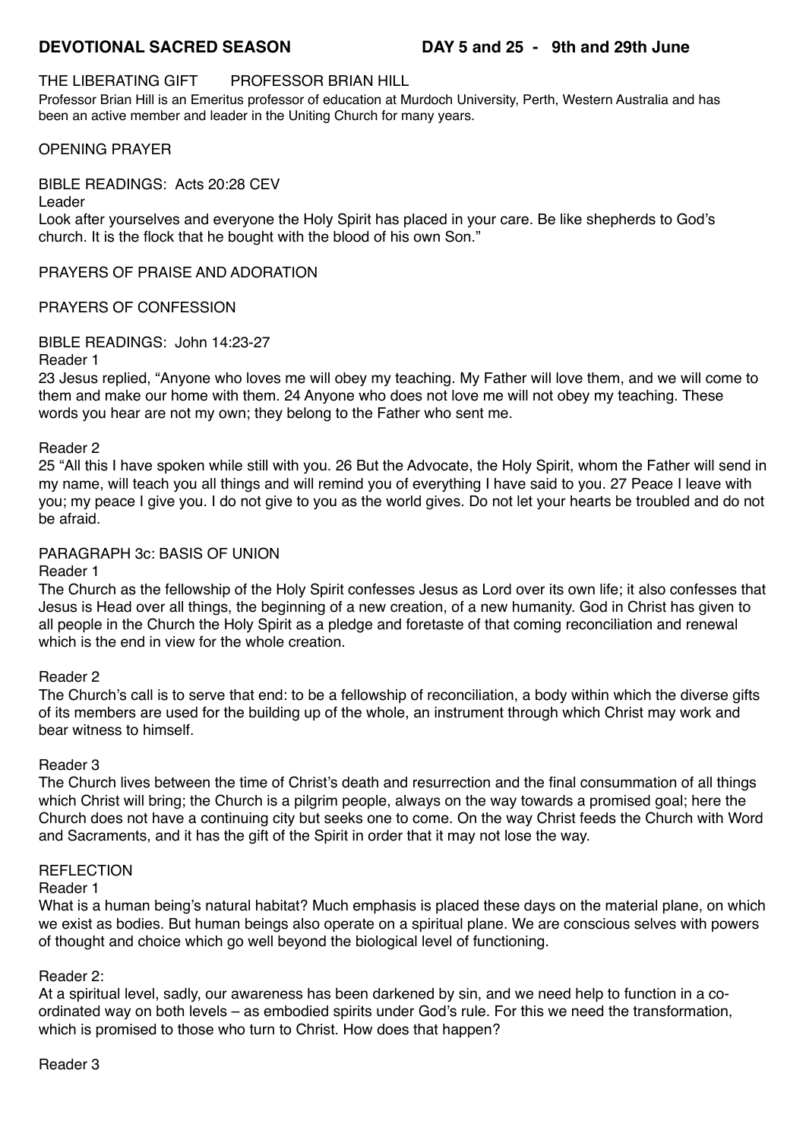# THE LIBERATING GIFT PROFESSOR BRIAN HILL

Professor Brian Hill is an Emeritus professor of education at Murdoch University, Perth, Western Australia and has [be](https://www.confessingschooloffaith.com/hedley-fihakai)en an active member and leader in the Uniting Church for many years.

## OPENING PRAYER

## BIBLE READINGS: Acts 20:28 CEV

Leader

Look after yourselves and everyone the Holy Spirit has placed in your care. Be like shepherds to God's church. It is the flock that he bought with the blood of his own Son."

PRAYERS OF PRAISE AND ADORATION

# PRAYERS OF CONFESSION

BIBLE READINGS: John 14:23-27

#### Reader 1

23 Jesus replied, "Anyone who loves me will obey my teaching. My Father will love them, and we will come to them and make our home with them. 24 Anyone who does not love me will not obey my teaching. These words you hear are not my own; they belong to the Father who sent me.

### Reader 2

25 "All this I have spoken while still with you. 26 But the Advocate, the Holy Spirit, whom the Father will send in my name, will teach you all things and will remind you of everything I have said to you. 27 Peace I leave with you; my peace I give you. I do not give to you as the world gives. Do not let your hearts be troubled and do not be afraid.

## PARAGRAPH 3c: BASIS OF UNION

### Reader 1

The Church as the fellowship of the Holy Spirit confesses Jesus as Lord over its own life; it also confesses that Jesus is Head over all things, the beginning of a new creation, of a new humanity. God in Christ has given to all people in the Church the Holy Spirit as a pledge and foretaste of that coming reconciliation and renewal which is the end in view for the whole creation.

### Reader 2

The Church's call is to serve that end: to be a fellowship of reconciliation, a body within which the diverse gifts of its members are used for the building up of the whole, an instrument through which Christ may work and bear witness to himself.

### Reader 3

The Church lives between the time of Christ's death and resurrection and the final consummation of all things which Christ will bring; the Church is a pilgrim people, always on the way towards a promised goal; here the Church does not have a continuing city but seeks one to come. On the way Christ feeds the Church with Word and Sacraments, and it has the gift of the Spirit in order that it may not lose the way.

### REFLECTION

### Reader 1

What is a human being's natural habitat? Much emphasis is placed these days on the material plane, on which we exist as bodies. But human beings also operate on a spiritual plane. We are conscious selves with powers of thought and choice which go well beyond the biological level of functioning.

### Reader 2:

At a spiritual level, sadly, our awareness has been darkened by sin, and we need help to function in a coordinated way on both levels – as embodied spirits under God's rule. For this we need the transformation, which is promised to those who turn to Christ. How does that happen?